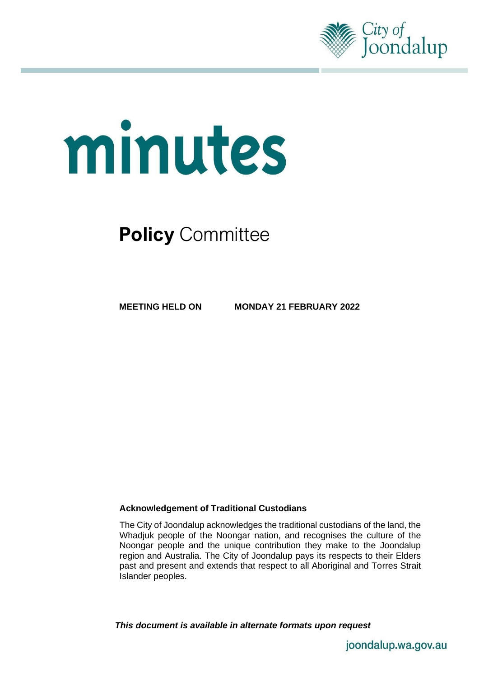

# minutes

# **Policy** Committee

**MEETING HELD ON MONDAY 21 FEBRUARY 2022**

#### **Acknowledgement of Traditional Custodians**

The City of Joondalup acknowledges the traditional custodians of the land, the Whadjuk people of the Noongar nation, and recognises the culture of the Noongar people and the unique contribution they make to the Joondalup region and Australia. The City of Joondalup pays its respects to their Elders past and present and extends that respect to all Aboriginal and Torres Strait Islander peoples.

*This document is available in alternate formats upon request*

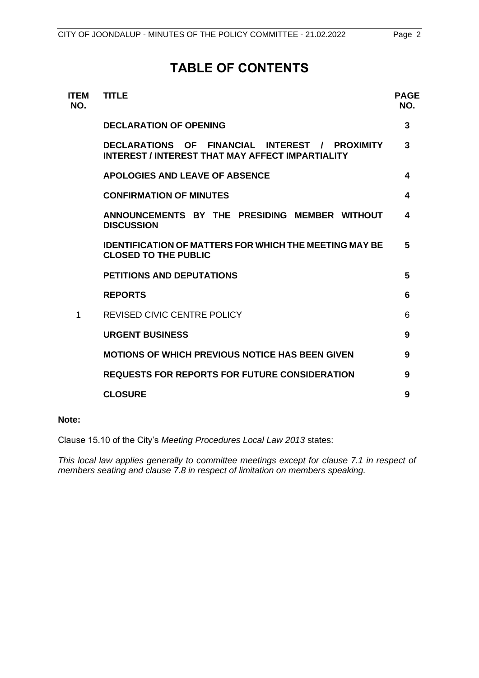# **TABLE OF CONTENTS**

| <b>ITEM</b><br>NO. | <b>TITLE</b>                                                                                              | <b>PAGE</b><br>NO. |
|--------------------|-----------------------------------------------------------------------------------------------------------|--------------------|
|                    | <b>DECLARATION OF OPENING</b>                                                                             | 3                  |
|                    | DECLARATIONS OF FINANCIAL INTEREST / PROXIMITY<br><b>INTEREST / INTEREST THAT MAY AFFECT IMPARTIALITY</b> | 3                  |
|                    | <b>APOLOGIES AND LEAVE OF ABSENCE</b>                                                                     | 4                  |
|                    | <b>CONFIRMATION OF MINUTES</b>                                                                            | 4                  |
|                    | ANNOUNCEMENTS BY THE PRESIDING MEMBER WITHOUT<br><b>DISCUSSION</b>                                        | 4                  |
|                    | <b>IDENTIFICATION OF MATTERS FOR WHICH THE MEETING MAY BE</b><br><b>CLOSED TO THE PUBLIC</b>              | 5                  |
|                    | <b>PETITIONS AND DEPUTATIONS</b>                                                                          | 5                  |
|                    | <b>REPORTS</b>                                                                                            | 6                  |
| 1                  | <b>REVISED CIVIC CENTRE POLICY</b>                                                                        | 6                  |
|                    | <b>URGENT BUSINESS</b>                                                                                    | 9                  |
|                    | <b>MOTIONS OF WHICH PREVIOUS NOTICE HAS BEEN GIVEN</b>                                                    | 9                  |
|                    | <b>REQUESTS FOR REPORTS FOR FUTURE CONSIDERATION</b>                                                      | 9                  |
|                    | <b>CLOSURE</b>                                                                                            | 9                  |
|                    |                                                                                                           |                    |

#### **Note:**

Clause 15.10 of the City's *Meeting Procedures Local Law 2013* states:

*This local law applies generally to committee meetings except for clause 7.1 in respect of members seating and clause 7.8 in respect of limitation on members speaking.*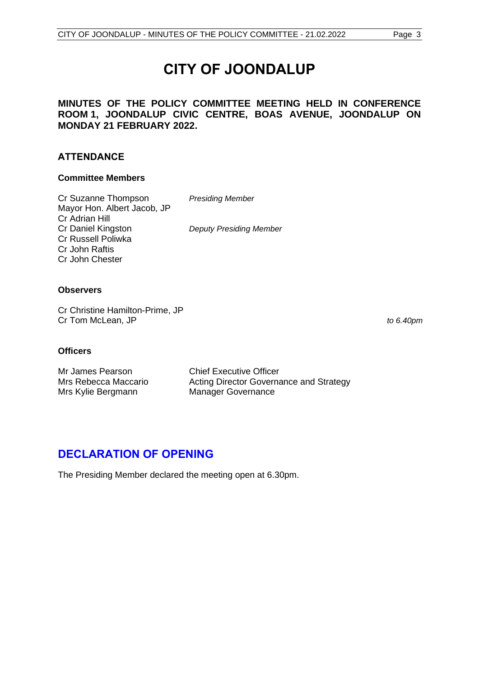# **CITY OF JOONDALUP**

#### **MINUTES OF THE POLICY COMMITTEE MEETING HELD IN CONFERENCE ROOM 1, JOONDALUP CIVIC CENTRE, BOAS AVENUE, JOONDALUP ON MONDAY 21 FEBRUARY 2022.**

#### **ATTENDANCE**

#### **Committee Members**

Cr Suzanne Thompson *Presiding Member* Mayor Hon. Albert Jacob, JP Cr Adrian Hill Cr Daniel Kingston *Deputy Presiding Member* Cr Russell Poliwka Cr John Raftis Cr John Chester

#### **Observers**

Cr Christine Hamilton-Prime, JP Cr Tom McLean, JP *to 6.40pm*

#### **Officers**

Mr James Pearson Chief Executive Officer Mrs Rebecca Maccario **Acting Director Governance and Strategy** Mrs Kylie Bergmann Manager Governance

# <span id="page-2-0"></span>**DECLARATION OF OPENING**

<span id="page-2-1"></span>The Presiding Member declared the meeting open at 6.30pm.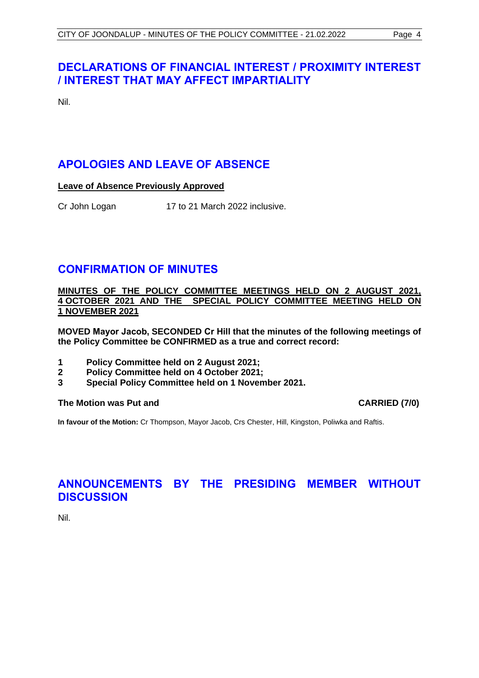# **DECLARATIONS OF FINANCIAL INTEREST / PROXIMITY INTEREST / INTEREST THAT MAY AFFECT IMPARTIALITY**

Nil.

# <span id="page-3-0"></span>**APOLOGIES AND LEAVE OF ABSENCE**

**Leave of Absence Previously Approved**

Cr John Logan 17 to 21 March 2022 inclusive.

## <span id="page-3-1"></span>**CONFIRMATION OF MINUTES**

**MINUTES OF THE POLICY COMMITTEE MEETINGS HELD ON 2 AUGUST 2021, 4 OCTOBER 2021 AND THE SPECIAL POLICY COMMITTEE MEETING HELD ON 1 NOVEMBER 2021**

**MOVED Mayor Jacob, SECONDED Cr Hill that the minutes of the following meetings of the Policy Committee be CONFIRMED as a true and correct record:**

- **1 Policy Committee held on 2 August 2021;**
- **2 Policy Committee held on 4 October 2021;**
- **3 Special Policy Committee held on 1 November 2021.**

#### **The Motion was Put and CARRIED (7/0)**

**In favour of the Motion:** Cr Thompson, Mayor Jacob, Crs Chester, Hill, Kingston, Poliwka and Raftis.

# <span id="page-3-2"></span>**ANNOUNCEMENTS BY THE PRESIDING MEMBER WITHOUT DISCUSSION**

Nil.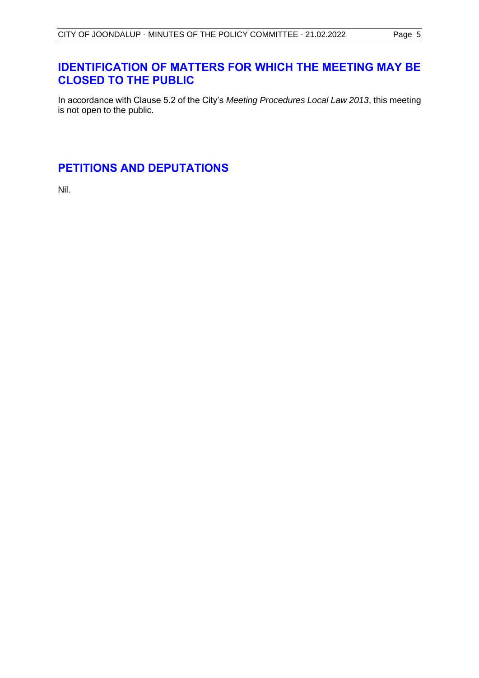# <span id="page-4-0"></span>**IDENTIFICATION OF MATTERS FOR WHICH THE MEETING MAY BE CLOSED TO THE PUBLIC**

In accordance with Clause 5.2 of the City's *Meeting Procedures Local Law 2013*, this meeting is not open to the public.

# <span id="page-4-1"></span>**PETITIONS AND DEPUTATIONS**

Nil.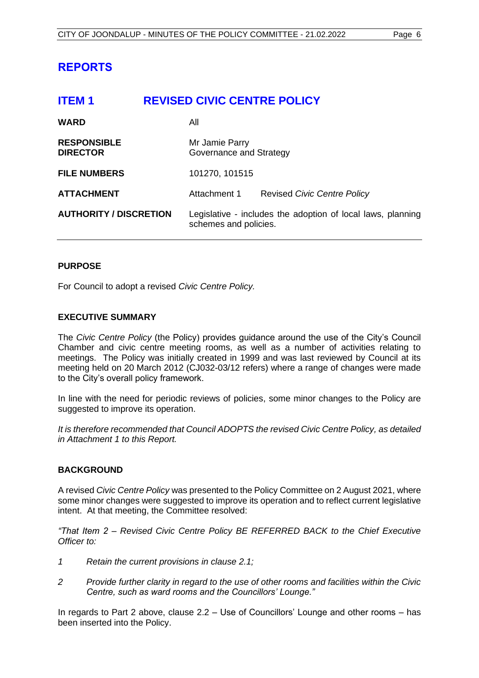## <span id="page-5-0"></span>**REPORTS**

<span id="page-5-1"></span>

| <b>ITEM1</b>                          | <b>REVISED CIVIC CENTRE POLICY</b>                                                   |  |
|---------------------------------------|--------------------------------------------------------------------------------------|--|
| <b>WARD</b>                           | All                                                                                  |  |
| <b>RESPONSIBLE</b><br><b>DIRECTOR</b> | Mr Jamie Parry<br>Governance and Strategy                                            |  |
| <b>FILE NUMBERS</b>                   | 101270, 101515                                                                       |  |
| <b>ATTACHMENT</b>                     | Attachment 1<br><b>Revised Civic Centre Policy</b>                                   |  |
| <b>AUTHORITY / DISCRETION</b>         | Legislative - includes the adoption of local laws, planning<br>schemes and policies. |  |

#### **PURPOSE**

For Council to adopt a revised *Civic Centre Policy.*

#### **EXECUTIVE SUMMARY**

The *Civic Centre Policy* (the Policy) provides guidance around the use of the City's Council Chamber and civic centre meeting rooms, as well as a number of activities relating to meetings. The Policy was initially created in 1999 and was last reviewed by Council at its meeting held on 20 March 2012 (CJ032-03/12 refers) where a range of changes were made to the City's overall policy framework.

In line with the need for periodic reviews of policies, some minor changes to the Policy are suggested to improve its operation.

*It is therefore recommended that Council ADOPTS the revised Civic Centre Policy, as detailed in Attachment 1 to this Report.*

#### **BACKGROUND**

A revised *Civic Centre Policy* was presented to the Policy Committee on 2 August 2021, where some minor changes were suggested to improve its operation and to reflect current legislative intent. At that meeting, the Committee resolved:

*"That Item 2 – Revised Civic Centre Policy BE REFERRED BACK to the Chief Executive Officer to:*

- *1 Retain the current provisions in clause 2.1;*
- *2 Provide further clarity in regard to the use of other rooms and facilities within the Civic Centre, such as ward rooms and the Councillors' Lounge."*

In regards to Part 2 above, clause 2.2 – Use of Councillors' Lounge and other rooms – has been inserted into the Policy.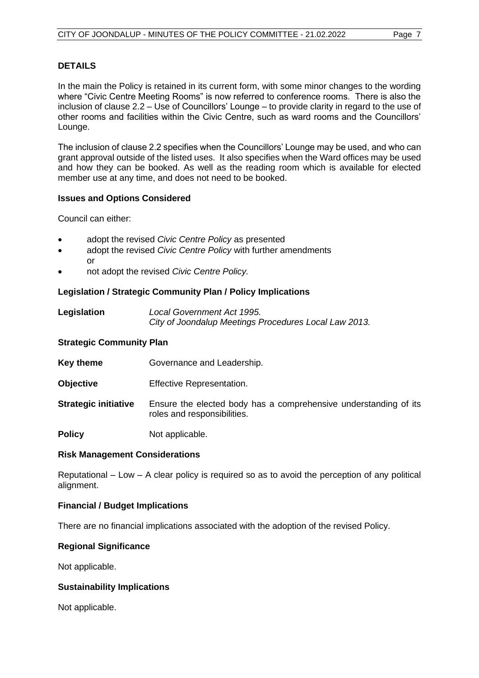#### **DETAILS**

In the main the Policy is retained in its current form, with some minor changes to the wording where "Civic Centre Meeting Rooms" is now referred to conference rooms. There is also the inclusion of clause 2.2 – Use of Councillors' Lounge – to provide clarity in regard to the use of other rooms and facilities within the Civic Centre, such as ward rooms and the Councillors' Lounge.

The inclusion of clause 2.2 specifies when the Councillors' Lounge may be used, and who can grant approval outside of the listed uses. It also specifies when the Ward offices may be used and how they can be booked. As well as the reading room which is available for elected member use at any time, and does not need to be booked.

#### **Issues and Options Considered**

Council can either:

- adopt the revised *Civic Centre Policy* as presented
- adopt the revised *Civic Centre Policy* with further amendments or
- not adopt the revised *Civic Centre Policy.*

#### **Legislation / Strategic Community Plan / Policy Implications**

| Legislation | Local Government Act 1995.                            |
|-------------|-------------------------------------------------------|
|             | City of Joondalup Meetings Procedures Local Law 2013. |

#### **Strategic Community Plan**

| <b>Key theme</b>            | Governance and Leadership.                                                                      |
|-----------------------------|-------------------------------------------------------------------------------------------------|
| <b>Objective</b>            | <b>Effective Representation.</b>                                                                |
| <b>Strategic initiative</b> | Ensure the elected body has a comprehensive understanding of its<br>roles and responsibilities. |
| <b>Policy</b>               | Not applicable.                                                                                 |

#### **Risk Management Considerations**

Reputational – Low – A clear policy is required so as to avoid the perception of any political alignment.

#### **Financial / Budget Implications**

There are no financial implications associated with the adoption of the revised Policy.

#### **Regional Significance**

Not applicable.

#### **Sustainability Implications**

Not applicable.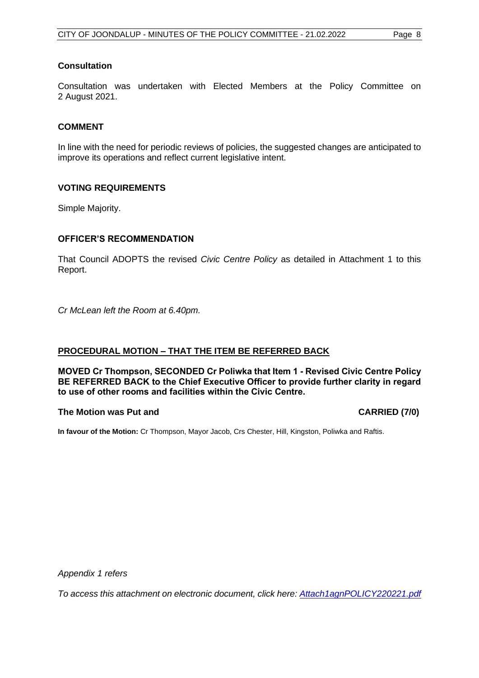#### **Consultation**

Consultation was undertaken with Elected Members at the Policy Committee on 2 August 2021.

#### **COMMENT**

In line with the need for periodic reviews of policies, the suggested changes are anticipated to improve its operations and reflect current legislative intent.

#### **VOTING REQUIREMENTS**

Simple Majority.

#### **OFFICER'S RECOMMENDATION**

That Council ADOPTS the revised *Civic Centre Policy* as detailed in Attachment 1 to this Report.

*Cr McLean left the Room at 6.40pm.* 

#### **PROCEDURAL MOTION – THAT THE ITEM BE REFERRED BACK**

**MOVED Cr Thompson, SECONDED Cr Poliwka that Item 1 - Revised Civic Centre Policy BE REFERRED BACK to the Chief Executive Officer to provide further clarity in regard to use of other rooms and facilities within the Civic Centre.** 

#### **The Motion was Put and CARRIED (7/0)**

**In favour of the Motion:** Cr Thompson, Mayor Jacob, Crs Chester, Hill, Kingston, Poliwka and Raftis.

*Appendix 1 refers*

*[To access this attachment on electronic document, click here: Attach1agnPOLICY220221.pdf](http://www.joondalup.wa.gov.au/files/committees/POLI/2022/Attach1agnPOLICY220221.pdf)*